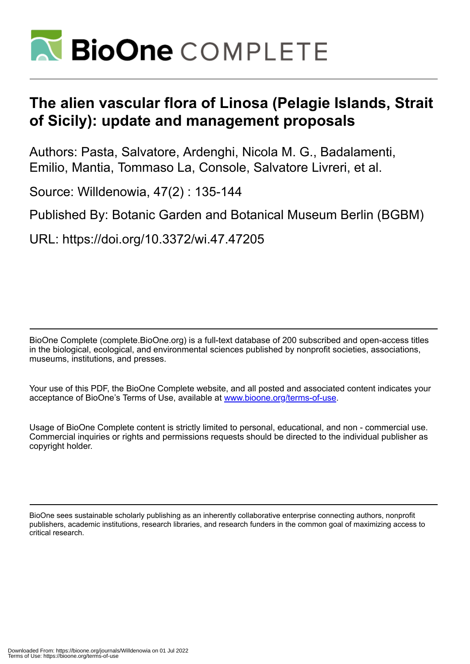

# **The alien vascular flora of Linosa (Pelagie Islands, Strait of Sicily): update and management proposals**

Authors: Pasta, Salvatore, Ardenghi, Nicola M. G., Badalamenti, Emilio, Mantia, Tommaso La, Console, Salvatore Livreri, et al.

Source: Willdenowia, 47(2) : 135-144

Published By: Botanic Garden and Botanical Museum Berlin (BGBM)

URL: https://doi.org/10.3372/wi.47.47205

BioOne Complete (complete.BioOne.org) is a full-text database of 200 subscribed and open-access titles in the biological, ecological, and environmental sciences published by nonprofit societies, associations, museums, institutions, and presses.

Your use of this PDF, the BioOne Complete website, and all posted and associated content indicates your acceptance of BioOne's Terms of Use, available at www.bioone.org/terms-of-use.

Usage of BioOne Complete content is strictly limited to personal, educational, and non - commercial use. Commercial inquiries or rights and permissions requests should be directed to the individual publisher as copyright holder.

BioOne sees sustainable scholarly publishing as an inherently collaborative enterprise connecting authors, nonprofit publishers, academic institutions, research libraries, and research funders in the common goal of maximizing access to critical research.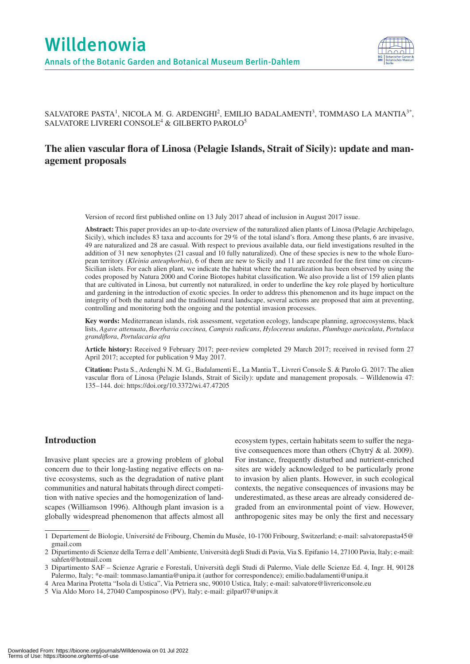

SALVATORE PASTA<sup>1</sup>, NICOLA M. G. ARDENGHI<sup>2</sup>, EMILIO BADALAMENTI<sup>3</sup>, TOMMASO LA MANTIA<sup>3\*</sup>, SALVATORE LIVRERI CONSOLE $^4$  & GILBERTO PAROLO $^5$ 

## **The alien vascular flora of Linosa (Pelagie Islands, Strait of Sicily): update and management proposals**

Version of record first published online on 13 July 2017 ahead of inclusion in August 2017 issue.

**Abstract:** This paper provides an up-to-date overview of the naturalized alien plants of Linosa (Pelagie Archipelago, Sicily), which includes 83 taxa and accounts for 29 % of the total island's flora. Among these plants, 6 are invasive, 49 are naturalized and 28 are casual. With respect to previous available data, our field investigations resulted in the addition of 31 new xenophytes (21 casual and 10 fully naturalized). One of these species is new to the whole European territory (*Kleinia anteuphorbia*), 6 of them are new to Sicily and 11 are recorded for the first time on circum-Sicilian islets. For each alien plant, we indicate the habitat where the naturalization has been observed by using the codes proposed by Natura 2000 and Corine Biotopes habitat classification. We also provide a list of 159 alien plants that are cultivated in Linosa, but currently not naturalized, in order to underline the key role played by horticulture and gardening in the introduction of exotic species. In order to address this phenomenon and its huge impact on the integrity of both the natural and the traditional rural landscape, several actions are proposed that aim at preventing, controlling and monitoring both the ongoing and the potential invasion processes.

**Key words:** Mediterranean islands, risk assessment, vegetation ecology, landscape planning, agroecosystems, black lists, *Agave attenuata*, *Boerhavia coccinea, Campsis radicans*, *Hylocereus undatus*, *Plumbago auriculata*, *Portulaca grandiflora*, *Portulacaria afra*

**Article history:** Received 9 February 2017; peer-review completed 29 March 2017; received in revised form 27 April 2017; accepted for publication 9 May 2017.

**Citation:** Pasta S., Ardenghi N. M. G., Badalamenti E., La Mantia T., Livreri Console S. & Parolo G. 2017: The alien vascular flora of Linosa (Pelagie Islands, Strait of Sicily): update and management proposals. – Willdenowia 47: 135–144. doi: https://doi.org/10.3372/wi.47.47205

## **Introduction**

Invasive plant species are a growing problem of global concern due to their long-lasting negative effects on native ecosystems, such as the degradation of native plant communities and natural habitats through direct competition with native species and the homogenization of landscapes (Williamson 1996). Although plant invasion is a globally widespread phenomenon that affects almost all

ecosystem types, certain habitats seem to suffer the negative consequences more than others (Chytrý & al. 2009). For instance, frequently disturbed and nutrient-enriched sites are widely acknowledged to be particularly prone to invasion by alien plants. However, in such ecological contexts, the negative consequences of invasions may be underestimated, as these areas are already considered degraded from an environmental point of view. However, anthropogenic sites may be only the first and necessary

<sup>1</sup> Departement de Biologie, Université de Fribourg, Chemin du Musée, 10-1700 Fribourg, Switzerland; e-mail: salvatorepasta45@ gmail.com

<sup>2</sup> Dipartimento di Scienze della Terra e dell'Ambiente, Università degli Studi di Pavia, Via S. Epifanio 14, 27100 Pavia, Italy; e-mail: sahfen@hotmail.com

<sup>3</sup> Dipartimento SAF – Scienze Agrarie e Forestali, Università degli Studi di Palermo, Viale delle Scienze Ed. 4, Ingr. H, 90128 Palermo, Italy; \*e-mail: tommaso.lamantia@unipa.it (author for correspondence); emilio.badalamenti@unipa.it

<sup>4</sup> Area Marina Protetta "Isola di Ustica", Via Petriera snc, 90010 Ustica, Italy; e-mail: salvatore@livrericonsole.eu

<sup>5</sup> Via Aldo Moro 14, 27040 Campospinoso (PV), Italy; e-mail: gilpar07@unipv.it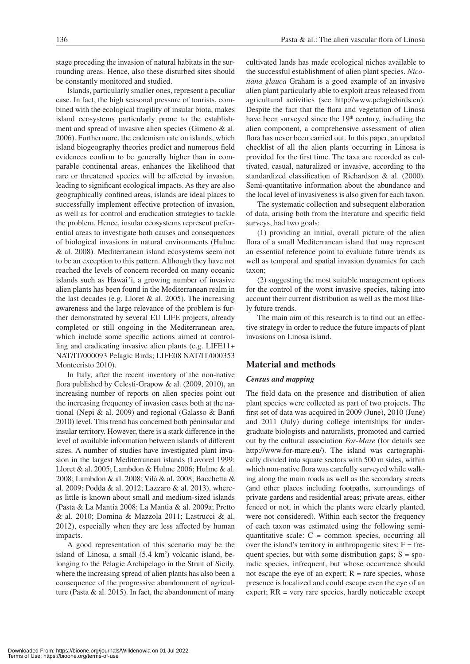stage preceding the invasion of natural habitats in the surrounding areas. Hence, also these disturbed sites should be constantly monitored and studied.

Islands, particularly smaller ones, represent a peculiar case. In fact, the high seasonal pressure of tourists, combined with the ecological fragility of insular biota, makes island ecosystems particularly prone to the establishment and spread of invasive alien species (Gimeno & al. 2006). Furthermore, the endemism rate on islands, which island biogeography theories predict and numerous field evidences confirm to be generally higher than in comparable continental areas, enhances the likelihood that rare or threatened species will be affected by invasion, leading to significant ecological impacts. As they are also geographically confined areas, islands are ideal places to successfully implement effective protection of invasion, as well as for control and eradication strategies to tackle the problem. Hence, insular ecosystems represent preferential areas to investigate both causes and consequences of biological invasions in natural environments (Hulme & al. 2008). Mediterranean island ecosystems seem not to be an exception to this pattern. Although they have not reached the levels of concern recorded on many oceanic islands such as Hawai'i, a growing number of invasive alien plants has been found in the Mediterranean realm in the last decades (e.g. Lloret  $&$  al. 2005). The increasing awareness and the large relevance of the problem is further demonstrated by several EU LIFE projects, already completed or still ongoing in the Mediterranean area, which include some specific actions aimed at controlling and eradicating invasive alien plants (e.g. LIFE11+ NAT/IT/000093 Pelagic Birds; LIFE08 NAT/IT/000353 Montecristo 2010).

In Italy, after the recent inventory of the non-native flora published by Celesti-Grapow & al. (2009, 2010), an increasing number of reports on alien species point out the increasing frequency of invasion cases both at the national (Nepi & al. 2009) and regional (Galasso & Banfi 2010) level. This trend has concerned both peninsular and insular territory. However, there is a stark difference in the level of available information between islands of different sizes. A number of studies have investigated plant invasion in the largest Mediterranean islands (Lavorel 1999; Lloret & al. 2005; Lambdon & Hulme 2006; Hulme & al. 2008; Lambdon & al. 2008; Vilà & al. 2008; Bacchetta & al. 2009; Podda & al. 2012; Lazzaro & al. 2013), whereas little is known about small and medium-sized islands (Pasta & La Mantia 2008; La Mantia & al. 2009a; Pretto & al. 2010; Domina & Mazzola 2011; Lastrucci & al. 2012), especially when they are less affected by human impacts.

A good representation of this scenario may be the island of Linosa, a small  $(5.4 \text{ km}^2)$  volcanic island, belonging to the Pelagie Archipelago in the Strait of Sicily, where the increasing spread of alien plants has also been a consequence of the progressive abandonment of agriculture (Pasta  $\&$  al. 2015). In fact, the abandonment of many cultivated lands has made ecological niches available to the successful establishment of alien plant species. *Nicotiana glauca* Graham is a good example of an invasive alien plant particularly able to exploit areas released from agricultural activities (see http://www.pelagicbirds.eu). Despite the fact that the flora and vegetation of Linosa have been surveyed since the 19<sup>th</sup> century, including the alien component, a comprehensive assessment of alien flora has never been carried out. In this paper, an updated checklist of all the alien plants occurring in Linosa is provided for the first time. The taxa are recorded as cultivated, casual, naturalized or invasive, according to the standardized classification of Richardson & al. (2000). Semi-quantitative information about the abundance and the local level of invasiveness is also given for each taxon.

The systematic collection and subsequent elaboration of data, arising both from the literature and specific field surveys, had two goals:

(1) providing an initial, overall picture of the alien flora of a small Mediterranean island that may represent an essential reference point to evaluate future trends as well as temporal and spatial invasion dynamics for each taxon;

(2) suggesting the most suitable management options for the control of the worst invasive species, taking into account their current distribution as well as the most likely future trends.

The main aim of this research is to find out an effective strategy in order to reduce the future impacts of plant invasions on Linosa island.

## **Material and methods**

#### *Census and mapping*

The field data on the presence and distribution of alien plant species were collected as part of two projects. The first set of data was acquired in 2009 (June), 2010 (June) and 2011 (July) during college internships for undergraduate biologists and naturalists, promoted and carried out by the cultural association *For-Mare* (for details see http://www.for-mare.eu/). The island was cartographically divided into square sectors with 500 m sides, within which non-native flora was carefully surveyed while walking along the main roads as well as the secondary streets (and other places including footpaths, surroundings of private gardens and residential areas; private areas, either fenced or not, in which the plants were clearly planted, were not considered). Within each sector the frequency of each taxon was estimated using the following semiquantitative scale:  $C =$  common species, occurring all over the island's territory in anthropogenic sites;  $F = fre$ quent species, but with some distribution gaps;  $S = spo$ radic species, infrequent, but whose occurrence should not escape the eye of an expert;  $R =$  rare species, whose presence is localized and could escape even the eye of an expert; RR = very rare species, hardly noticeable except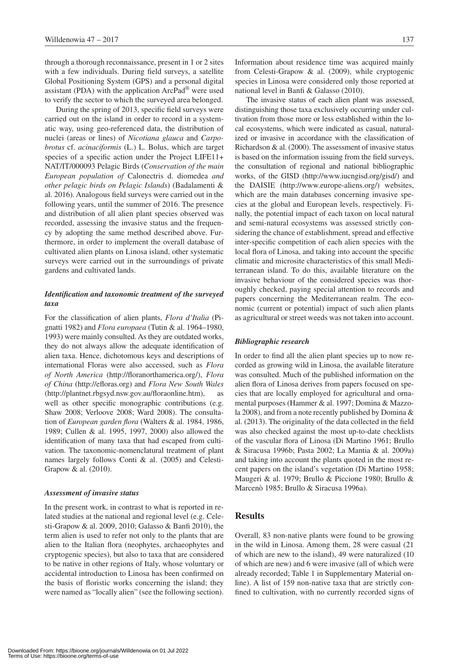through a thorough reconnaissance, present in 1 or 2 sites with a few individuals. During field surveys, a satellite Global Positioning System (GPS) and a personal digital assistant (PDA) with the application ArcPad® were used to verify the sector to which the surveyed area belonged.

During the spring of 2013, specific field surveys were carried out on the island in order to record in a systematic way, using geo-referenced data, the distribution of nuclei (areas or lines) of *Nicotiana glauca* and *Carpobrotus* cf. *acinaciformis* (L.) L. Bolus, which are target species of a specific action under the Project LIFE11+ NAT/IT/000093 Pelagic Birds (*Conservation of the main European population of* Calonectris d. diomedea *and other pelagic birds on Pelagic Islands*) (Badalamenti & al. 2016). Analogous field surveys were carried out in the following years, until the summer of 2016. The presence and distribution of all alien plant species observed was recorded, assessing the invasive status and the frequency by adopting the same method described above. Furthermore, in order to implement the overall database of cultivated alien plants on Linosa island, other systematic surveys were carried out in the surroundings of private gardens and cultivated lands.

### *Identification and taxonomic treatment of the surveyed taxa*

For the classification of alien plants, *Flora d'Italia* (Pignatti 1982) and *Flora europaea* (Tutin & al. 1964–1980, 1993) were mainly consulted. As they are outdated works, they do not always allow the adequate identification of alien taxa. Hence, dichotomous keys and descriptions of international Floras were also accessed, such as *Flora of North America* (http://floranorthamerica.org/), *Flora of China* (http://efloras.org) and *Flora New South Wales* (http://plantnet.rbgsyd.nsw.gov.au/floraonline.htm), as well as other specific monographic contributions (e.g. Shaw 2008; Verloove 2008; Ward 2008). The consultation of *European garden flora* (Walters & al. 1984, 1986, 1989; Cullen & al. 1995, 1997, 2000) also allowed the identification of many taxa that had escaped from cultivation. The taxonomic-nomenclatural treatment of plant names largely follows Conti & al. (2005) and Celesti-Grapow & al. (2010).

#### *Assessment of invasive status*

In the present work, in contrast to what is reported in related studies at the national and regional level (e.g. Celesti-Grapow & al. 2009, 2010; Galasso & Banfi 2010), the term alien is used to refer not only to the plants that are alien to the Italian flora (neophytes, archaeophytes and cryptogenic species), but also to taxa that are considered to be native in other regions of Italy, whose voluntary or accidental introduction to Linosa has been confirmed on the basis of floristic works concerning the island; they were named as "locally alien" (see the following section).

Information about residence time was acquired mainly from Celesti-Grapow & al. (2009), while cryptogenic species in Linosa were considered only those reported at national level in Banfi & Galasso (2010).

The invasive status of each alien plant was assessed, distinguishing those taxa exclusively occurring under cultivation from those more or less established within the local ecosystems, which were indicated as casual, naturalized or invasive in accordance with the classification of Richardson & al. (2000). The assessment of invasive status is based on the information issuing from the field surveys, the consultation of regional and national bibliographic works, of the GISD (http://www.iucngisd.org/gisd/) and the DAISIE (http://www.europe-aliens.org/) websites, which are the main databases concerning invasive species at the global and European levels, respectively. Finally, the potential impact of each taxon on local natural and semi-natural ecosystems was assessed strictly considering the chance of establishment, spread and effective inter-specific competition of each alien species with the local flora of Linosa, and taking into account the specific climatic and microsite characteristics of this small Mediterranean island. To do this, available literature on the invasive behaviour of the considered species was thoroughly checked, paying special attention to records and papers concerning the Mediterranean realm. The economic (current or potential) impact of such alien plants as agricultural or street weeds was not taken into account.

#### *Bibliographic research*

In order to find all the alien plant species up to now recorded as growing wild in Linosa, the available literature was consulted. Much of the published information on the alien flora of Linosa derives from papers focused on species that are locally employed for agricultural and ornamental purposes (Hammer & al. 1997; Domina & Mazzola 2008), and from a note recently published by Domina & al. (2013). The originality of the data collected in the field was also checked against the most up-to-date checklists of the vascular flora of Linosa (Di Martino 1961; Brullo & Siracusa 1996b; Pasta 2002; La Mantia & al. 2009a) and taking into account the plants quoted in the most recent papers on the island's vegetation (Di Martino 1958; Maugeri & al. 1979; Brullo & Piccione 1980; Brullo & Marcenò 1985; Brullo & Siracusa 1996a).

## **Results**

Overall, 83 non-native plants were found to be growing in the wild in Linosa. Among them, 28 were casual (21 of which are new to the island), 49 were naturalized (10 of which are new) and 6 were invasive (all of which were already recorded; Table 1 in Supplementary Material online). A list of 159 non-native taxa that are strictly confined to cultivation, with no currently recorded signs of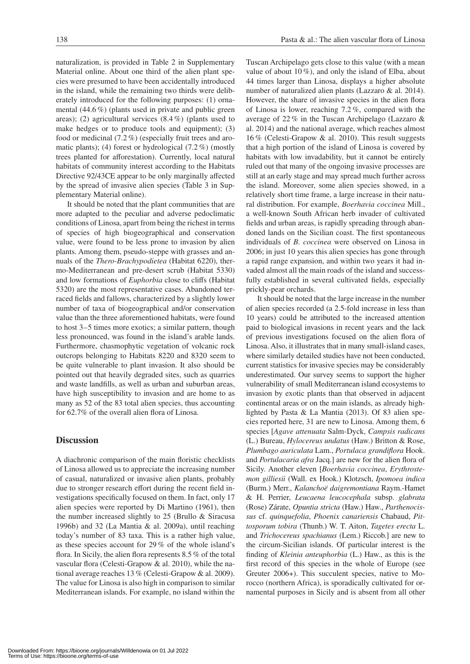naturalization, is provided in Table 2 in Supplementary Material online. About one third of the alien plant species were presumed to have been accidentally introduced in the island, while the remaining two thirds were deliberately introduced for the following purposes: (1) ornamental (44.6 %) (plants used in private and public green areas); (2) agricultural services  $(8.4\%)$  (plants used to make hedges or to produce tools and equipment); (3) food or medicinal (7.2 %) (especially fruit trees and aromatic plants); (4) forest or hydrological (7.2 %) (mostly trees planted for afforestation). Currently, local natural habitats of community interest according to the Habitats Directive 92/43CE appear to be only marginally affected by the spread of invasive alien species (Table 3 in Supplementary Material online).

It should be noted that the plant communities that are more adapted to the peculiar and adverse pedoclimatic conditions of Linosa, apart from being the richest in terms of species of high biogeographical and conservation value, were found to be less prone to invasion by alien plants. Among them, pseudo-steppe with grasses and annuals of the *Thero-Brachypodietea* (Habitat 6220), thermo-Mediterranean and pre-desert scrub (Habitat 5330) and low formations of *Euphorbia* close to cliffs (Habitat 5320) are the most representative cases. Abandoned terraced fields and fallows, characterized by a slightly lower number of taxa of biogeographical and/or conservation value than the three aforementioned habitats, were found to host 3–5 times more exotics; a similar pattern, though less pronounced, was found in the island's arable lands. Furthermore, chasmophytic vegetation of volcanic rock outcrops belonging to Habitats 8220 and 8320 seem to be quite vulnerable to plant invasion. It also should be pointed out that heavily degraded sites, such as quarries and waste landfills, as well as urban and suburban areas, have high susceptibility to invasion and are home to as many as 52 of the 83 total alien species, thus accounting for 62.7% of the overall alien flora of Linosa.

## **Discussion**

A diachronic comparison of the main floristic checklists of Linosa allowed us to appreciate the increasing number of casual, naturalized or invasive alien plants, probably due to stronger research effort during the recent field investigations specifically focused on them. In fact, only 17 alien species were reported by Di Martino (1961), then the number increased slightly to 25 (Brullo & Siracusa 1996b) and 32 (La Mantia & al. 2009a), until reaching today's number of 83 taxa. This is a rather high value, as these species account for 29 % of the whole island's flora. In Sicily, the alien flora represents 8.5 % of the total vascular flora (Celesti-Grapow & al. 2010), while the national average reaches 13 % (Celesti-Grapow & al. 2009). The value for Linosa is also high in comparison to similar Mediterranean islands. For example, no island within the Tuscan Archipelago gets close to this value (with a mean value of about 10 %), and only the island of Elba, about 44 times larger than Linosa, displays a higher absolute number of naturalized alien plants (Lazzaro & al. 2014). However, the share of invasive species in the alien flora of Linosa is lower, reaching 7.2 %, compared with the average of 22 % in the Tuscan Archipelago (Lazzaro & al. 2014) and the national average, which reaches almost 16 % (Celesti-Grapow & al. 2010). This result suggests that a high portion of the island of Linosa is covered by habitats with low invadability, but it cannot be entirely ruled out that many of the ongoing invasive processes are still at an early stage and may spread much further across the island. Moreover, some alien species showed, in a relatively short time frame, a large increase in their natural distribution. For example, *Boerhavia coccinea* Mill., a well-known South African herb invader of cultivated fields and urban areas, is rapidly spreading through abandoned lands on the Sicilian coast. The first spontaneous individuals of *B. coccinea* were observed on Linosa in 2006; in just 10 years this alien species has gone through a rapid range expansion, and within two years it had invaded almost all the main roads of the island and successfully established in several cultivated fields, especially prickly-pear orchards.

It should be noted that the large increase in the number of alien species recorded (a 2.5-fold increase in less than 10 years) could be attributed to the increased attention paid to biological invasions in recent years and the lack of previous investigations focused on the alien flora of Linosa. Also, it illustrates that in many small-island cases, where similarly detailed studies have not been conducted, current statistics for invasive species may be considerably underestimated. Our survey seems to support the higher vulnerability of small Mediterranean island ecosystems to invasion by exotic plants than that observed in adjacent continental areas or on the main islands, as already highlighted by Pasta & La Mantia (2013). Of 83 alien species reported here, 31 are new to Linosa. Among them, 6 species [*Agave attenuata* Salm-Dyck, *Campsis radicans*  (L.) Bureau, *Hylocereus undatus* (Haw.) Britton & Rose, *Plumbago auriculata* Lam., *Portulaca grandiflora* Hook. and *Portulacaria afra* Jacq.] are new for the alien flora of Sicily. Another eleven [*Boerhavia coccinea*, *Erythrostemon gilliesii* (Wall. ex Hook.) Klotzsch, *Ipomoea indica*  (Burm.) Merr., *Kalanchoë daigremontiana* Raym.-Hamet & H. Perrier, *Leucaena leucocephala* subsp. *glabrata*  (Rose) Zárate, *Opuntia stricta* (Haw.) Haw., *Parthenocissus* cf. *quinquefolia*, *Phoenix canariensis* Chabaud, *Pittosporum tobira* (Thunb.) W. T. Aiton, *Tagetes erecta* L. and *Trichocereus spachianus* (Lem.) Riccob.] are new to the circum-Sicilian islands. Of particular interest is the finding of *Kleinia anteuphorbia* (L.) Haw., as this is the first record of this species in the whole of Europe (see Greuter 2006+). This succulent species, native to Morocco (northern Africa), is sporadically cultivated for ornamental purposes in Sicily and is absent from all other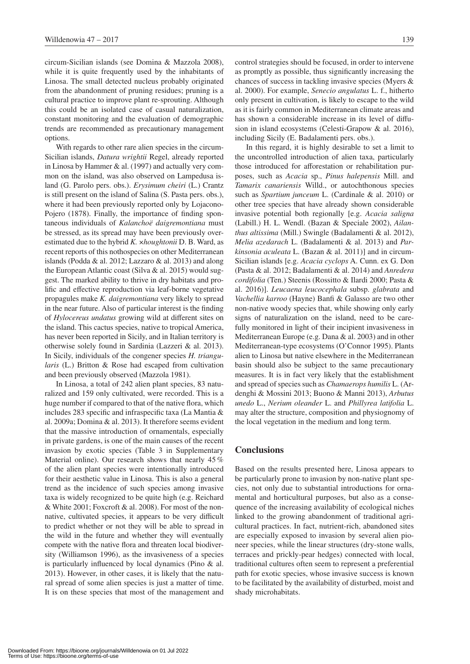circum-Sicilian islands (see Domina & Mazzola 2008), while it is quite frequently used by the inhabitants of Linosa. The small detected nucleus probably originated from the abandonment of pruning residues; pruning is a cultural practice to improve plant re-sprouting. Although this could be an isolated case of casual naturalization, constant monitoring and the evaluation of demographic trends are recommended as precautionary management options.

With regards to other rare alien species in the circum-Sicilian islands, *Datura wrightii* Regel, already reported in Linosa by Hammer & al. (1997) and actually very common on the island, was also observed on Lampedusa island (G. Parolo pers. obs.). *Erysimum cheiri* (L.) Crantz is still present on the island of Salina (S. Pasta pers. obs.), where it had been previously reported only by Lojacono-Pojero (1878). Finally, the importance of finding spontaneous individuals of *Kalanchoë daigremontiana* must be stressed, as its spread may have been previously overestimated due to the hybrid *K. ×houghtonii* D. B. Ward, as recent reports of this nothospecies on other Mediterranean islands (Podda & al. 2012; Lazzaro & al. 2013) and along the European Atlantic coast (Silva & al. 2015) would suggest. The marked ability to thrive in dry habitats and prolific and effective reproduction via leaf-borne vegetative propagules make *K. daigremontiana* very likely to spread in the near future. Also of particular interest is the finding of *Hylocereus undatus* growing wild at different sites on the island. This cactus species, native to tropical America, has never been reported in Sicily, and in Italian territory is otherwise solely found in Sardinia (Lazzeri & al. 2013). In Sicily, individuals of the congener species *H. triangularis* (L.) Britton & Rose had escaped from cultivation and been previously observed (Mazzola 1981).

In Linosa, a total of 242 alien plant species, 83 naturalized and 159 only cultivated, were recorded. This is a huge number if compared to that of the native flora, which includes 283 specific and infraspecific taxa (La Mantia & al. 2009a; Domina & al. 2013). It therefore seems evident that the massive introduction of ornamentals, especially in private gardens, is one of the main causes of the recent invasion by exotic species (Table 3 in Supplementary Material online). Our research shows that nearly 45 % of the alien plant species were intentionally introduced for their aesthetic value in Linosa. This is also a general trend as the incidence of such species among invasive taxa is widely recognized to be quite high (e.g. Reichard & White 2001; Foxcroft & al. 2008). For most of the nonnative, cultivated species, it appears to be very difficult to predict whether or not they will be able to spread in the wild in the future and whether they will eventually compete with the native flora and threaten local biodiversity (Williamson 1996), as the invasiveness of a species is particularly influenced by local dynamics (Pino & al. 2013). However, in other cases, it is likely that the natural spread of some alien species is just a matter of time. It is on these species that most of the management and control strategies should be focused, in order to intervene as promptly as possible, thus significantly increasing the chances of success in tackling invasive species (Myers & al. 2000). For example, *Senecio angulatus* L. f., hitherto only present in cultivation, is likely to escape to the wild as it is fairly common in Mediterranean climate areas and has shown a considerable increase in its level of diffusion in island ecosystems (Celesti-Grapow & al. 2016), including Sicily (E. Badalamenti pers. obs.).

In this regard, it is highly desirable to set a limit to the uncontrolled introduction of alien taxa, particularly those introduced for afforestation or rehabilitation purposes, such as *Acacia* sp., *Pinus halepensis* Mill. and *Tamarix canariensis* Willd., or autochthonous species such as *Spartium junceum* L. (Cardinale & al. 2010) or other tree species that have already shown considerable invasive potential both regionally [e.g. *Acacia saligna* (Labill.) H. L. Wendl. (Bazan & Speciale 2002), *Ailanthus altissima* (Mill.) Swingle (Badalamenti & al. 2012), *Melia azedarach* L. (Badalamenti & al. 2013) and *Parkinsonia aculeata* L. (Bazan & al. 2011)] and in circum-Sicilian islands [e.g. *Acacia cyclops* A. Cunn. ex G. Don (Pasta & al. 2012; Badalamenti & al. 2014) and *Anredera cordifolia* (Ten.) Steenis (Rossitto & Ilardi 2000; Pasta & al. 2016)]. *Leucaena leucocephala* subsp. *glabrata* and *Vachellia karroo* (Hayne) Banfi & Galasso are two other non-native woody species that, while showing only early signs of naturalization on the island, need to be carefully monitored in light of their incipient invasiveness in Mediterranean Europe (e.g. Dana & al. 2003) and in other Mediterranean-type ecosystems (O'Connor 1995). Plants alien to Linosa but native elsewhere in the Mediterranean basin should also be subject to the same precautionary measures. It is in fact very likely that the establishment and spread of species such as *Chamaerops humilis* L. (Ardenghi & Mossini 2013; Buono & Manni 2013), *Arbutus unedo* L., *Nerium oleander* L. and *Phillyrea latifolia* L. may alter the structure, composition and physiognomy of the local vegetation in the medium and long term.

## **Conclusions**

Based on the results presented here, Linosa appears to be particularly prone to invasion by non-native plant species, not only due to substantial introductions for ornamental and horticultural purposes, but also as a consequence of the increasing availability of ecological niches linked to the growing abandonment of traditional agricultural practices. In fact, nutrient-rich, abandoned sites are especially exposed to invasion by several alien pioneer species, while the linear structures (dry-stone walls, terraces and prickly-pear hedges) connected with local, traditional cultures often seem to represent a preferential path for exotic species, whose invasive success is known to be facilitated by the availability of disturbed, moist and shady microhabitats.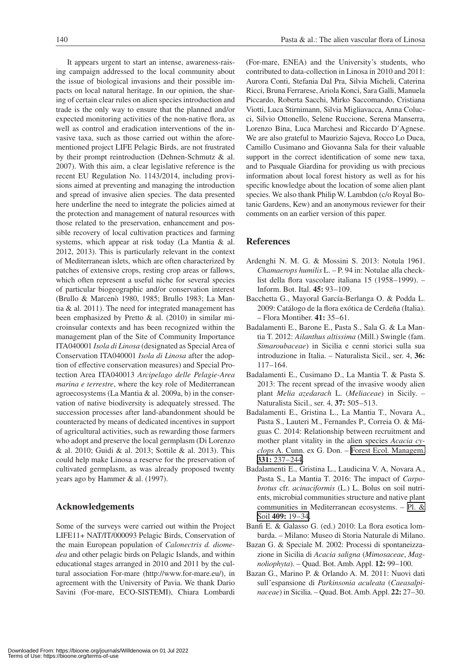It appears urgent to start an intense, awareness-raising campaign addressed to the local community about the issue of biological invasions and their possible impacts on local natural heritage. In our opinion, the sharing of certain clear rules on alien species introduction and trade is the only way to ensure that the planned and/or expected monitoring activities of the non-native flora, as well as control and eradication interventions of the invasive taxa, such as those carried out within the aforementioned project LIFE Pelagic Birds, are not frustrated by their prompt reintroduction (Dehnen-Schmutz & al. 2007). With this aim, a clear legislative reference is the recent EU Regulation No. 1143/2014, including provisions aimed at preventing and managing the introduction and spread of invasive alien species. The data presented here underline the need to integrate the policies aimed at the protection and management of natural resources with those related to the preservation, enhancement and possible recovery of local cultivation practices and farming systems, which appear at risk today (La Mantia & al. 2012, 2013). This is particularly relevant in the context of Mediterranean islets, which are often characterized by patches of extensive crops, resting crop areas or fallows, which often represent a useful niche for several species of particular biogeographic and/or conservation interest (Brullo & Marcenò 1980, 1985; Brullo 1983; La Mantia & al. 2011). The need for integrated management has been emphasized by Pretto & al. (2010) in similar microinsular contexts and has been recognized within the management plan of the Site of Community Importance ITA040001 *Isola di Linosa* (designated as Special Area of Conservation ITA040001 *Isola di Linosa* after the adoption of effective conservation measures) and Special Protection Area ITA040013 *Arcipelago delle Pelagie-Area marina e terrestre*, where the key role of Mediterranean agroecosystems (La Mantia & al. 2009a, b) in the conservation of native biodiversity is adequately stressed. The succession processes after land-abandonment should be counteracted by means of dedicated incentives in support of agricultural activities, such as rewarding those farmers who adopt and preserve the local germplasm (Di Lorenzo & al. 2010; Guidi & al. 2013; Sottile & al. 2013). This could help make Linosa a reserve for the preservation of cultivated germplasm, as was already proposed twenty years ago by Hammer & al. (1997).

## **Acknowledgements**

Some of the surveys were carried out within the Project LIFE11+ NAT/IT/000093 Pelagic Birds, Conservation of the main European population of *Calonectris d. diomedea* and other pelagic birds on Pelagic Islands, and within educational stages arranged in 2010 and 2011 by the cultural association For-mare (http://www.for-mare.eu/), in agreement with the University of Pavia. We thank Dario Savini (For-mare, ECO-SISTEMI), Chiara Lombardi (For-mare, ENEA) and the University's students, who contributed to data-collection in Linosa in 2010 and 2011: Aurora Conti, Stefania Dal Pra, Silvia Micheli, Caterina Ricci, Bruna Ferrarese, Ariola Konci, Sara Galli, Manuela Piccardo, Roberta Sacchi, Mirko Saccomando, Cristiana Viotti, Luca Stirnimann, Silvia Migliavacca, Anna Colucci, Silvio Ottonello, Selene Ruccione, Serena Manserra, Lorenzo Bina, Luca Marchesi and Riccardo D'Agnese. We are also grateful to Maurizio Sajeva, Rocco Lo Duca, Camillo Cusimano and Giovanna Sala for their valuable support in the correct identification of some new taxa, and to Pasquale Giardina for providing us with precious information about local forest history as well as for his specific knowledge about the location of some alien plant species. We also thank Philip W. Lambdon (c/o Royal Botanic Gardens, Kew) and an anonymous reviewer for their comments on an earlier version of this paper.

## **References**

- Ardenghi N. M. G. & Mossini S. 2013: Notula 1961. *Chamaerops humilis* L. – P. 94 in: Notulae alla checklist della flora vascolare italiana 15 (1958–1999). – Inform. Bot. Ital. **45:** 93–109.
- Bacchetta G., Mayoral García-Berlanga O. & Podda L. 2009: Catálogo de la flora exótica de Cerdeña (Italia). – Flora Montiber. **41:** 35–61.
- Badalamenti E., Barone E., Pasta S., Sala G. & La Mantia T. 2012: *Ailanthus altissima* (Mill.) Swingle (fam. *Simaroubaceae*) in Sicilia e cenni storici sulla sua introduzione in Italia. – Naturalista Sicil., ser. 4, **36:** 117–164.
- Badalamenti E., Cusimano D., La Mantia T. & Pasta S. 2013: The recent spread of the invasive woody alien plant *Melia azedarach* L. (*Meliaceae*) in Sicily. – Naturalista Sicil., ser. 4, **37:** 505–513.
- Badalamenti E., Gristina L., La Mantia T., Novara A., Pasta S., Lauteri M., Fernandes P., Correia O. & Máguas C. 2014: Relationship between recruitment and mother plant vitality in the alien species *Acacia cyclops* A. Cunn. ex G. Don. – [Forest Ecol. Managem.](https://doi.org/10.1016/j.foreco.2014.08.016)  **331:** [237–244.](https://doi.org/10.1016/j.foreco.2014.08.016)
- Badalamenti E., Gristina L., Laudicina V. A, Novara A., Pasta S., La Mantia T. 2016: The impact of *Carpobrotus* cfr. *acinaciformis* (L.) L. Bolus on soil nutrients, microbial communities structure and native plant communities in Mediterranean ecosystems. – [Pl. &](https://doi.org/10.1007/s11104-016-2924-z)  Soil **409:** [19–34](https://doi.org/10.1007/s11104-016-2924-z).
- Banfi E. & Galasso G. (ed.) 2010: La flora esotica lombarda. – Milano: Museo di Storia Naturale di Milano.
- Bazan G. & Speciale M. 2002: Processi di spontaneizzazione in Sicilia di *Acacia saligna* (*Mimosaceae*, *Magnoliophyta*). – Quad. Bot. Amb. Appl. **12:** 99–100.
- Bazan G., Marino P. & Orlando A. M. 2011: Nuovi dati sull'espansione di *Parkinsonia aculeata* (*Caeasalpinaceae*) in Sicilia. – Quad. Bot. Amb. Appl. **22:** 27–30.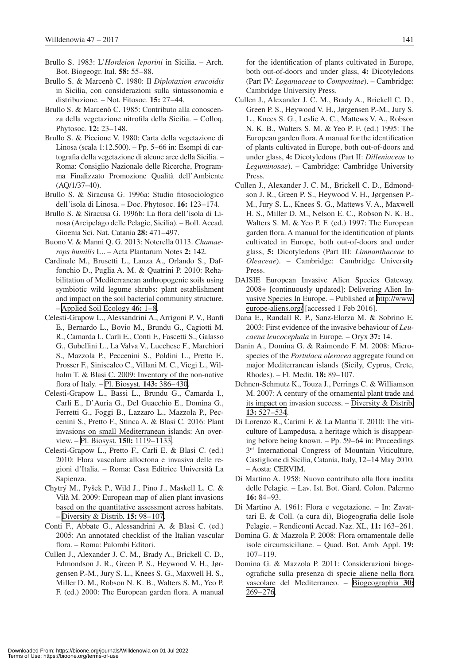- Brullo S. 1983: L'*Hordeion leporini* in Sicilia. Arch. Bot. Biogeogr. Ital. **58:** 55–88.
- Brullo S. & Marcenò C. 1980: Il *Diplotaxion erucoidis* in Sicilia, con considerazioni sulla sintassonomia e distribuzione. – Not. Fitosoc. **15:** 27–44.
- Brullo S. & Marcenò C. 1985: Contributo alla conoscenza della vegetazione nitrofila della Sicilia. – Colloq. Phytosoc. **12:** 23–148.
- Brullo S. & Piccione V. 1980: Carta della vegetazione di Linosa (scala 1:12.500). – Pp. 5–66 in: Esempi di cartografia della vegetazione di alcune aree della Sicilia. – Roma: Consiglio Nazionale delle Ricerche, Programma Finalizzato Promozione Qualità dell'Ambiente (AQ/1/37–40).
- Brullo S. & Siracusa G. 1996a: Studio fitosociologico dell'isola di Linosa. – Doc. Phytosoc. **16:** 123–174.
- Brullo S. & Siracusa G. 1996b: La flora dell'isola di Linosa (Arcipelago delle Pelagie, Sicilia). – Boll. Accad. Gioenia Sci. Nat. Catania **28:** 471–497.
- Buono V. & Manni Q. G. 2013: Noterella 0113. *Chamaerops humilis* L.. – Acta Plantarum Notes **2:** 142.
- Cardinale M., Brusetti L., Lanza A., Orlando S., Daffonchio D., Puglia A. M. & Quatrini P. 2010: Rehabilitation of Mediterranean anthropogenic soils using symbiotic wild legume shrubs: plant establishment and impact on the soil bacterial community structure. – [Applied Soil Ecology](https://doi.org/10.1016/j.apsoil.2010.05.007) **46:** 1–8.
- Celesti-Grapow L., Alessandrini A., Arrigoni P. V., Banfi E., Bernardo L., Bovio M., Brundu G., Cagiotti M. R., Camarda I., Carli E., Conti F., Fascetti S., Galasso G., Gubellini L., La Valva V., Lucchese F., Marchiori S., Mazzola P., Peccenini S., Poldini L., Pretto F., Prosser F., Siniscalco C., Villani M. C., Viegi L., Wilhalm T. & Blasi C. 2009: Inventory of the non-native flora of Italy. – [Pl. Biosyst](https://doi.org/10.1080/11263500902722824)*.* **143:** 386–430.
- Celesti-Grapow L., Bassi L., Brundu G., Camarda I., Carli E., D'Auria G., Del Guacchio E., Domina G., Ferretti G., Foggi B., Lazzaro L., Mazzola P., Peccenini S., Pretto F., Stinca A. & Blasi C. 2016: Plant invasions on small Mediterranean islands: An overview. – Pl. Biosyst. **150:** [1119–1133.](https://doi.org/10.1080/11263504.2016.1218974)
- Celesti-Grapow L., Pretto F., Carli E. & Blasi C. (ed.) 2010: Flora vascolare alloctona e invasiva delle regioni d'Italia. – Roma: Casa Editrice Università La Sapienza.
- Chytrý M., Pyšek P., Wild J., Pino J., Maskell L. C. & Vilà M. 2009: European map of alien plant invasions based on the quantitative assessment across habitats. – [Diversity & Distrib.](https://doi.org/10.1111/j.1472-4642.2008.00515.x) **15:** 98–107.
- Conti F., Abbate G., Alessandrini A. & Blasi C. (ed.) 2005: An annotated checklist of the Italian vascular flora. – Roma: Palombi Editori.
- Cullen J., Alexander J. C. M., Brady A., Brickell C. D., Edmondson J. R., Green P. S., Heywood V. H., Jørgensen P.-M., Jury S. L., Knees S. G., Maxwell H. S., Miller D. M., Robson N. K. B., Walters S. M., Yeo P. F. (ed.) 2000: The European garden flora. A manual

for the identification of plants cultivated in Europe, both out-of-doors and under glass, **4:** Dicotyledons (Part IV: *Loganiaceae* to *Compositae*). – Cambridge: Cambridge University Press.

- Cullen J., Alexander J. C. M., Brady A., Brickell C. D., Green P. S., Heywood V. H., Jørgensen P.-M., Jury S. L., Knees S. G., Leslie A. C., Mattews V. A., Robson N. K. B., Walters S. M. & Yeo P. F. (ed.) 1995: The European garden flora. A manual for the identification of plants cultivated in Europe, both out-of-doors and under glass, **4:** Dicotyledons (Part II: *Dilleniaceae* to *Leguminosae*). – Cambridge: Cambridge University Press.
- Cullen J., Alexander J. C. M., Brickell C. D., Edmondson J. R., Green P. S., Heywood V. H., Jørgensen P.- M., Jury S. L., Knees S. G., Mattews V. A., Maxwell H. S., Miller D. M., Nelson E. C., Robson N. K. B., Walters S. M. & Yeo P. F. (ed.) 1997: The European garden flora. A manual for the identification of plants cultivated in Europe, both out-of-doors and under glass, **5:** Dicotyledons (Part III: *Limnanthaceae* to *Oleaceae*). – Cambridge: Cambridge University Press.
- DAISIE European Invasive Alien Species Gateway. 2008+ [continuously updated]: Delivering Alien Invasive Species In Europe. – Published at [http://www.](http://www.europe-aliens.org/) [europe-aliens.org/](http://www.europe-aliens.org/) [accessed 1 Feb 2016].
- Dana E., Randall R. P., Sanz-Elorza M. & Sobrino E. 2003: First evidence of the invasive behaviour of *Leucaena leucocephala* in Europe. – Oryx **37:** 14.
- Danin A., Domina G. & Raimondo F. M. 2008: Microspecies of the *Portulaca oleracea* aggregate found on major Mediterranean islands (Sicily, Cyprus, Crete, Rhodes). – Fl. Medit. **18:** 89–107.
- Dehnen-Schmutz K., Touza J., Perrings C. & Williamson M. 2007: A century of the ornamental plant trade and its impact on invasion success. – [Diversity & Distrib.](https://doi.org/10.1111/j.1472-4642.2007.00359.x) **13:** [527–534](https://doi.org/10.1111/j.1472-4642.2007.00359.x).
- Di Lorenzo R., Carimi F. & La Mantia T. 2010: The viticulture of Lampedusa, a heritage which is disappearing before being known. – Pp. 59–64 in: Proceedings 3<sup>rd</sup> International Congress of Mountain Viticulture, Castiglione di Sicilia, Catania, Italy, 12–14 May 2010. – Aosta: CERVIM.
- Di Martino A. 1958: Nuovo contributo alla flora inedita delle Pelagie. – Lav. Ist. Bot. Giard. Colon. Palermo **16:** 84–93.
- Di Martino A. 1961: Flora e vegetazione. In: Zavattari E. & Coll. (a cura di), Biogeografia delle Isole Pelagie. – Rendiconti Accad. Naz. XL, **11:** 163–261.
- Domina G. & Mazzola P. 2008: Flora ornamentale delle isole circumsiciliane. – Quad. Bot. Amb. Appl. **19:** 107–119.
- Domina G. & Mazzola P. 2011: Considerazioni biogeografiche sulla presenza di specie aliene nella flora vascolare del Mediterraneo. – [Biogeographia](https://doi.org/10.21426/B630110605) **30:** [269–276.](https://doi.org/10.21426/B630110605)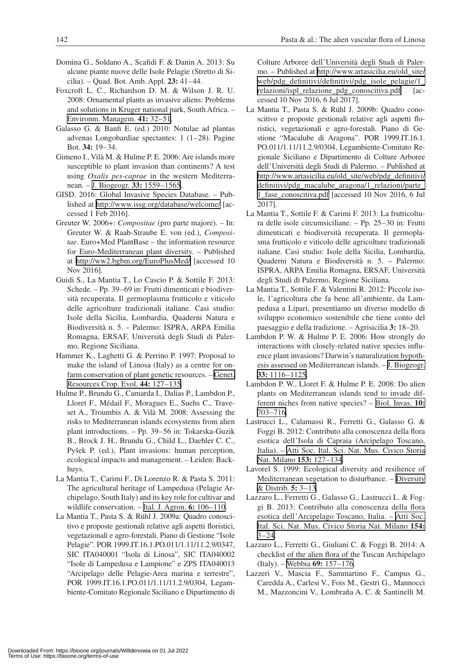- Domina G., Soldano A., Scafidi F. & Danin A. 2013: Su alcune piante nuove delle Isole Pelagie (Stretto di Sicilia). – Quad. Bot. Amb. Appl. **23:** 41–44.
- Foxcroft L. C., Richardson D. M. & Wilson J. R. U. 2008: Ornamental plants as invasive aliens: Problems and solutions in Kruger national park, South Africa. – [Environm. Managem.](https://doi.org/10.1007/s00267-007-9027-9) **41:** 32–51.
- Galasso G. & Banfi E. (ed.) 2010: Notulae ad plantas advenas Longobardiae spectantes: 1 (1–28). Pagine Bot. **34:** 19–34.
- Gimeno I., Vilà M. & Hulme P. E. 2006: Are islands more susceptible to plant invasion than continents? A test using *Oxalis pes-caprae* in the western Mediterranean. – [J. Biogeogr.](https://doi.org/10.1111/j.1365-2699.2006.01525.x) **33:** 1559–1565.
- GISD. 2016: Global Invasive Species Database. Published at <http://www.issg.org/database/welcome/> [accessed 1 Feb 2016].
- Greuter W. 2006+: *Compositae* (pro parte majore). In: Greuter W. & Raab-Straube E. von (ed.), *Compositae*. Euro+Med PlantBase – the information resource for Euro-Mediterranean plant diversity. – Published at <http://ww2.bgbm.org/EuroPlusMed/> [accessed 10 Nov 2016].
- Guidi S., La Mantia T., Lo Cascio P. & Sottile F. 2013: Schede. – Pp. 39–69 in: Frutti dimenticati e biodiversità recuperata. Il germoplasma frutticolo e viticolo delle agricolture tradizionali italiane. Casi studio: Isole della Sicilia, Lombardia, Quaderni Natura e Biodiversità n. 5. – Palermo: ISPRA, ARPA Emilia Romagna, ERSAF, Università degli Studi di Palermo, Regione Siciliana.
- Hammer K., Laghetti G. & Perrino P. 1997: Proposal to make the island of Linosa (Italy) as a centre for onfarm conservation of plant genetic resources. – [Genet.](https://doi.org/10.1023/A:1008603014588)  [Resources Crop. Evol.](https://doi.org/10.1023/A:1008603014588) **44:** 127–135.
- Hulme P., Brundu G., Camarda I., Dalias P., Lambdon P., Lloret F., Médail F., Moragues E., Suehs C., Traveset A., Troumbis A. & Vilà M. 2008: Assessing the risks to Mediterranean islands ecosystems from alien plant introductions. – Pp. 39–56 in: Tokarska-Guzik B., Brock J. H., Brundu G., Child L., Daehler C. C., Pyšek P. (ed.), Plant invasions: human perception, ecological impacts and management. – Leiden: Backhuys.
- La Mantia T., Carimi F., Di Lorenzo R. & Pasta S. 2011: The agricultural heritage of Lampedusa (Pelagie Archipelago, South Italy) and its key role for cultivar and wildlife conservation. – [Ital. J. Agron.](https://doi.org/10.4081/ija.2011.e17) **6:** 106–110.
- La Mantia T., Pasta S. & Rühl J. 2009a: Quadro conoscitivo e proposte gestionali relative agli aspetti floristici, vegetazionali e agro-forestali. Piano di Gestione "Isole Pelagie". POR 1999.IT.16.1.PO.011/1.11/11.2.9/0347, SIC ITA040001 "Isola di Linosa", SIC ITA040002 "Isole di Lampedusa e Lampione" e ZPS ITA040013 "Arcipelago delle Pelagie-Area marina e terrestre", POR 1999.IT.16.1.PO.011/1.11/11.2.9/0304, Legambiente-Comitato Regionale Siciliano e Dipartimento di

Colture Arboree dell'Università degli Studi di Palermo. – Published at [http://www.artasicilia.eu/old\\_site/](http://www.artasicilia.eu/old_site/web/pdg_definitivi/definitivi/pdg_isole_pelagie/1_relazioni/ispl_relazione_pdg_conoscitiva.pdf) [web/pdg\\_definitivi/definitivi/pdg\\_isole\\_pelagie/1\\_](http://www.artasicilia.eu/old_site/web/pdg_definitivi/definitivi/pdg_isole_pelagie/1_relazioni/ispl_relazione_pdg_conoscitiva.pdf) [relazioni/ispl\\_relazione\\_pdg\\_conoscitiva.pdf](http://www.artasicilia.eu/old_site/web/pdg_definitivi/definitivi/pdg_isole_pelagie/1_relazioni/ispl_relazione_pdg_conoscitiva.pdf) [accessed 10 Nov 2016, 6 Jul 2017].

- La Mantia T., Pasta S. & Rühl J. 2009b: Quadro conoscitivo e proposte gestionali relative agli aspetti floristici, vegetazionali e agro-forestali. Piano di Gestione "Macalube di Aragona". POR 1999.IT.16.1. PO.011/1.11/11.2.9/0304, Legambiente-Comitato Regionale Siciliano e Dipartimento di Colture Arboree dell'Università degli Studi di Palermo. – Published at [http://www.artasicilia.eu/old\\_site/web/pdg\\_definitivi/](http://www.artasicilia.eu/old_site/web/pdg_definitivi/definitivi/pdg_macalube_aragona/1_relazioni/parte_1_fase_conoscitiva.pdf) [definitivi/pdg\\_macalube\\_aragona/1\\_relazioni/parte\\_](http://www.artasicilia.eu/old_site/web/pdg_definitivi/definitivi/pdg_macalube_aragona/1_relazioni/parte_1_fase_conoscitiva.pdf)  [1\\_fase\\_conoscitiva.pdf](http://www.artasicilia.eu/old_site/web/pdg_definitivi/definitivi/pdg_macalube_aragona/1_relazioni/parte_1_fase_conoscitiva.pdf) [accessed 10 Nov 2016, 6 Jul 2017].
- La Mantia T., Sottile F. & Carimi F. 2013: La frutticoltura delle isole circumsiciliane. – Pp. 25–30 in: Frutti dimenticati e biodiversità recuperata. Il germoplasma frutticolo e viticolo delle agricolture tradizionali italiane. Casi studio: Isole della Sicilia, Lombardia, Quaderni Natura e Biodiversità n. 5. – Palermo: ISPRA, ARPA Emilia Romagna, ERSAF, Università degli Studi di Palermo, Regione Siciliana.
- La Mantia T., Sottile F. & Valentini R. 2012: Piccole isole, l'agricoltura che fa bene all'ambiente, da Lampedusa a Lipari, presentiamo un diverso modello di sviluppo economico sostenibile che tiene conto del paesaggio e della tradizione. – Agrisicilia **3:** 18–20.
- Lambdon P. W. & Hulme P. E. 2006: How strongly do interactions with closely-related native species influence plant invasions? Darwin's naturalization hypothesis assessed on Mediterranean islands. – [J. Biogeogr.](https://doi.org/10.1111/j.1365-2699.2006.01486.x)  **33:** [1116–1125.](https://doi.org/10.1111/j.1365-2699.2006.01486.x)
- Lambdon P. W., Lloret F. & Hulme P. E. 2008: Do alien plants on Mediterranean islands tend to invade different niches from native species? – [Biol. Invas.](https://doi.org/10.1007/s10530-007-9163-4) **10:** [703–716.](https://doi.org/10.1007/s10530-007-9163-4)
- Lastrucci L., Calamassi R., Ferretti G., Galasso G. & Foggi B. 2012: Contributo alla conoscenza della flora esotica dell'Isola di Capraia (Arcipelago Toscano, Italia). – [Atti Soc. Ital. Sci. Nat. Mus. Civico Storia](https://doi.org/10.4081/nhs.2012.127)  [Nat. Milano](https://doi.org/10.4081/nhs.2012.127) **153:** 127–134.
- Lavorel S. 1999: Ecological diversity and resilience of Mediterranean vegetation to disturbance. – [Diversity](https://doi.org/10.1046/j.1472-4642.1999.00033.x)  [& Distrib.](https://doi.org/10.1046/j.1472-4642.1999.00033.x) **5:** 3–13.
- Lazzaro L., Ferretti G., Galasso G., Lastrucci L. & Foggi B. 2013: Contributo alla conoscenza della flora esotica dell'Arcipelago Toscano, Italia. – [Atti Soc.](https://doi.org/10.4081/nhs.2013.3)  [Ital. Sci. Nat. Mus. Civico Storia Nat. Milano](https://doi.org/10.4081/nhs.2013.3) **154:**  $3 - 24.$
- Lazzaro L., Ferretti G., Giuliani C. & Foggi B. 2014: A checklist of the alien flora of the Tuscan Archipelago (Italy). – Webbia **69:** [157–176.](https://doi.org/10.1080/00837792.2014.907981)
- Lazzeri V., Mascia F., Sammartino F., Campus G., Caredda A., Carlesi V., Fois M., Gestri G., Mannocci M., Mazzoncini V., Lombraña A. C. & Santinelli M.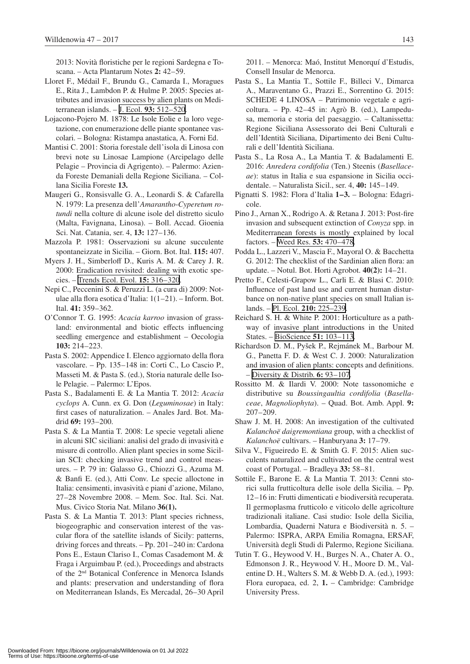2013: Novità floristiche per le regioni Sardegna e Toscana. – Acta Plantarum Notes **2:** 42–59.

- Lloret F., Médail F., Brundu G., Camarda I., Moragues E., Rita J., Lambdon P. & Hulme P. 2005: Species attributes and invasion success by alien plants on Mediterranean islands. – J. Ecol. **93:** [512–520.](https://doi.org/10.1111/j.1365-2745.2005.00979.x)
- Lojacono-Pojero M. 1878: Le Isole Eolie e la loro vegetazione, con enumerazione delle piante spontanee vascolari. – Bologna: Ristampa anastatica, A. Forni Ed.
- Mantisi C. 2001: Storia forestale dell'isola di Linosa con brevi note su Linosae Lampione (Arcipelago delle Pelagie – Provincia di Agrigento). – Palermo: Azienda Foreste Demaniali della Regione Siciliana. – Collana Sicilia Foreste **13.**
- Maugeri G., Ronsisvalle G. A., Leonardi S. & Cafarella N. 1979: La presenza dell'*Amarantho*-*Cyperetum rotundi* nella colture di alcune isole del distretto siculo (Malta, Favignana, Linosa). – Boll. Accad. Gioenia Sci. Nat. Catania, ser. 4, **13:** 127–136.
- Mazzola P. 1981: Osservazioni su alcune succulente spontaneizzate in Sicilia. – Giorn. Bot. Ital. **115:** 407.
- Myers J. H., Simberloff D., Kuris A. M. & Carey J. R. 2000: Eradication revisited: dealing with exotic species. – [Trends Ecol. Evol.](https://doi.org/10.1016/S0169-5347(00)01914-5) **15:** 316–320.
- Nepi C., Peccenini S. & Peruzzi L. (a cura di) 2009: Notulae alla flora esotica d'Italia: 1(1–21). – Inform. Bot. Ital. **41:** 359–362.
- O'Connor T. G. 1995: *Acacia karroo* invasion of grassland: environmental and biotic effects influencing seedling emergence and establishment – Oecologia **103:** 214–223.
- Pasta S. 2002: Appendice I. Elenco aggiornato della flora vascolare. – Pp. 135–148 in: Corti C., Lo Cascio P., Masseti M. & Pasta S. (ed.), Storia naturale delle Isole Pelagie. – Palermo: L'Epos.
- Pasta S., Badalamenti E. & La Mantia T. 2012: *Acacia cyclops* A. Cunn. ex G. Don (*Leguminosae*) in Italy: first cases of naturalization. – Anales Jard. Bot. Madrid **69:** 193–200.
- Pasta S. & La Mantia T. 2008: Le specie vegetali aliene in alcuni SIC siciliani: analisi del grado di invasività e misure di controllo. Alien plant species in some Sicilian SCI: checking invasive trend and control measures. – P. 79 in: Galasso G., Chiozzi G., Azuma M. & Banfi E. (ed.), Atti Conv. Le specie alloctone in Italia: censimenti, invasività e piani d'azione, Milano, 27–28 Novembre 2008. – Mem. Soc. Ital. Sci. Nat. Mus. Civico Storia Nat. Milano **36(1).**
- Pasta S. & La Mantia T. 2013: Plant species richness, biogeographic and conservation interest of the vascular flora of the satellite islands of Sicily: patterns, driving forces and threats. – Pp. 201–240 in: Cardona Pons E., Estaun Clariso I., Comas Casademont M. & Fraga i Arguimbau P. (ed.), Proceedings and abstracts of the 2nd Botanical Conference in Menorca Islands and plants: preservation and understanding of flora on Mediterranean Islands, Es Mercadal, 26–30 April

2011. – Menorca: Maó, Institut Menorquí d'Estudis, Consell Insular de Menorca.

- Pasta S., La Mantia T., Sottile F., Billeci V., Dimarca A., Maraventano G., Prazzi E., Sorrentino G. 2015: SCHEDE 4 LINOSA – Patrimonio vegetale e agricoltura. – Pp. 42–45 in: Agrò B. (ed.), Lampedusa, memoria e storia del paesaggio. – Caltanissetta: Regione Siciliana Assessorato dei Beni Culturali e dell'Identità Siciliana, Dipartimento dei Beni Culturali e dell'Identità Siciliana.
- Pasta S., La Rosa A., La Mantia T. & Badalamenti E. 2016: *Anredera cordifolia* (Ten.) Steenis (*Basellaceae*): status in Italia e sua espansione in Sicilia occidentale. – Naturalista Sicil., ser. 4, **40:** 145–149.
- Pignatti S. 1982: Flora d'Italia **1–3.** Bologna: Edagricole.
- Pino J., Arnan X., Rodrigo A. & Retana J. 2013: Post-fire invasion and subsequent extinction of *Conyza* spp. in Mediterranean forests is mostly explained by local factors. – [Weed Res.](https://doi.org/10.1111/wre.12040) **53:** 470–478.
- Podda L., Lazzeri V., Mascia F., Mayoral O. & Bacchetta G. 2012: The checklist of the Sardinian alien flora: an update. – Notul. Bot. Horti Agrobot. **40(2):** 14–21.
- Pretto F., Celesti-Grapow L., Carli E. & Blasi C. 2010: Influence of past land use and current human disturbance on non-native plant species on small Italian islands. – Pl. Ecol. **210:** [225–239.](https://doi.org/10.1007/s11258-010-9751-8)
- Reichard S. H. & White P. 2001: Horticulture as a pathway of invasive plant introductions in the United States. – [BioScience](https://doi.org/10.1641/0006-3568(2001)051[0103:HAAPOI]2.0.CO;2) **51:** 103–113.
- Richardson D. M., Pyšek P., Rejmánek M., Barbour M. G., Panetta F. D. & West C. J. 2000: Naturalization and invasion of alien plants: concepts and definitions. – [Diversity & Distrib.](https://doi.org/10.1046/j.1472-4642.2000.00083.x) **6:** 93–107.
- Rossitto M. & Ilardi V. 2000: Note tassonomiche e distributive su *Boussingaultia cordifolia* (*Basellaceae*, *Magnoliophyta*). – Quad. Bot. Amb. Appl. **9:** 207–209.
- Shaw J. M. H. 2008: An investigation of the cultivated *Kalanchoë daigremontiana* group, with a checklist of *Kalanchoë* cultivars. – Hanburyana **3:** 17–79.
- Silva V., Figueiredo E. & Smith G. F. 2015: Alien succulents naturalized and cultivated on the central west coast of Portugal. – Bradleya **33:** 58–81.
- Sottile F., Barone E. & La Mantia T. 2013: Cenni storici sulla frutticoltura delle isole della Sicilia. – Pp. 12–16 in: Frutti dimenticati e biodiversità recuperata. Il germoplasma frutticolo e viticolo delle agricolture tradizionali italiane. Casi studio: Isole della Sicilia, Lombardia, Quaderni Natura e Biodiversità n. 5. – Palermo: ISPRA, ARPA Emilia Romagna, ERSAF, Università degli Studi di Palermo, Regione Siciliana.
- Tutin T. G., Heywood V. H., Burges N. A., Chater A. O., Edmonson J. R., Heywood V. H., Moore D. M., Valentine D. H., Walters S. M. & Webb D. A. (ed.), 1993: Flora europaea, ed. 2, **1.** – Cambridge: Cambridge University Press.